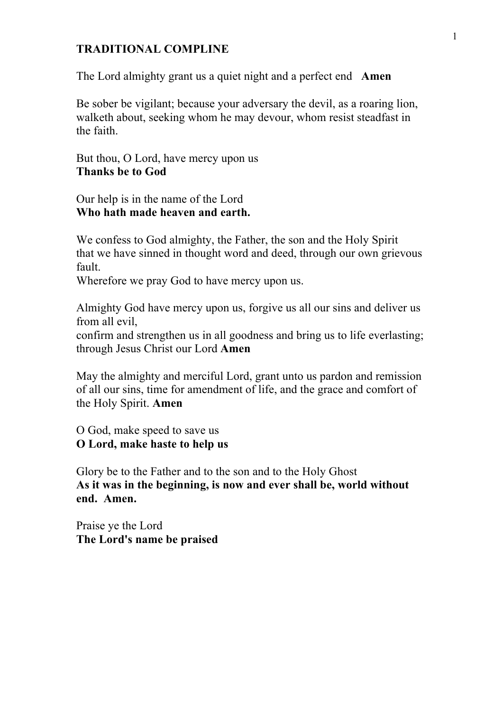### **TRADITIONAL COMPLINE**

The Lord almighty grant us a quiet night and a perfect end **Amen**

Be sober be vigilant; because your adversary the devil, as a roaring lion, walketh about, seeking whom he may devour, whom resist steadfast in the faith.

But thou, O Lord, have mercy upon us **Thanks be to God**

Our help is in the name of the Lord **Who hath made heaven and earth.**

We confess to God almighty, the Father, the son and the Holy Spirit that we have sinned in thought word and deed, through our own grievous fault.

Wherefore we pray God to have mercy upon us.

Almighty God have mercy upon us, forgive us all our sins and deliver us from all evil,

confirm and strengthen us in all goodness and bring us to life everlasting; through Jesus Christ our Lord **Amen**

May the almighty and merciful Lord, grant unto us pardon and remission of all our sins, time for amendment of life, and the grace and comfort of the Holy Spirit. **Amen**

O God, make speed to save us **O Lord, make haste to help us**

Glory be to the Father and to the son and to the Holy Ghost **As it was in the beginning, is now and ever shall be, world without end. Amen.**

Praise ye the Lord **The Lord's name be praised**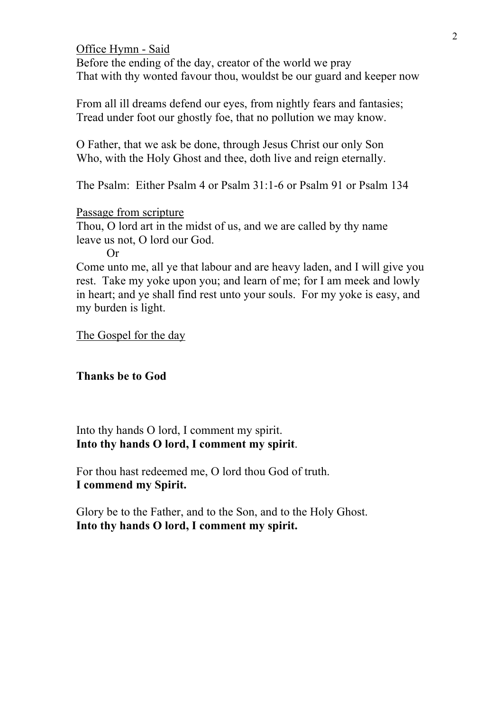Office Hymn - Said Before the ending of the day, creator of the world we pray That with thy wonted favour thou, wouldst be our guard and keeper now

From all ill dreams defend our eyes, from nightly fears and fantasies; Tread under foot our ghostly foe, that no pollution we may know.

O Father, that we ask be done, through Jesus Christ our only Son Who, with the Holy Ghost and thee, doth live and reign eternally.

The Psalm: Either Psalm 4 or Psalm 31:1-6 or Psalm 91 or Psalm 134

Passage from scripture

Thou, O lord art in the midst of us, and we are called by thy name leave us not, O lord our God.

Or

Come unto me, all ye that labour and are heavy laden, and I will give you rest. Take my yoke upon you; and learn of me; for I am meek and lowly in heart; and ye shall find rest unto your souls. For my yoke is easy, and my burden is light.

The Gospel for the day

**Thanks be to God**

Into thy hands O lord, I comment my spirit. **Into thy hands O lord, I comment my spirit**.

For thou hast redeemed me, O lord thou God of truth. **I commend my Spirit.**

Glory be to the Father, and to the Son, and to the Holy Ghost. **Into thy hands O lord, I comment my spirit.**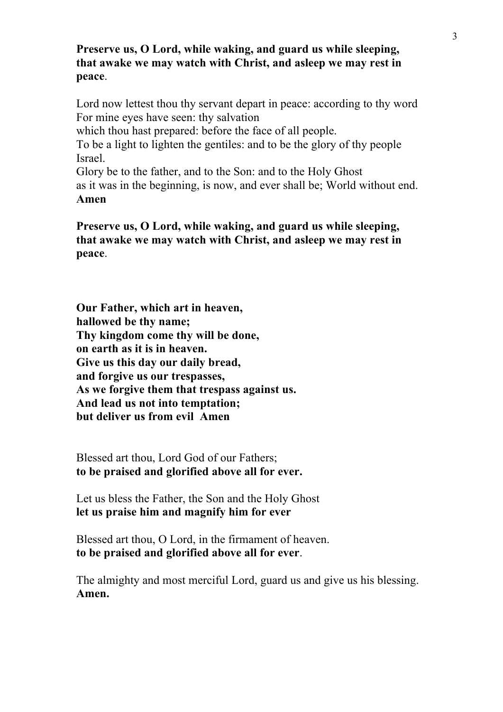# **Preserve us, O Lord, while waking, and guard us while sleeping, that awake we may watch with Christ, and asleep we may rest in peace**.

Lord now lettest thou thy servant depart in peace: according to thy word For mine eyes have seen: thy salvation

which thou hast prepared: before the face of all people.

To be a light to lighten the gentiles: and to be the glory of thy people Israel.

Glory be to the father, and to the Son: and to the Holy Ghost as it was in the beginning, is now, and ever shall be; World without end. **Amen**

**Preserve us, O Lord, while waking, and guard us while sleeping, that awake we may watch with Christ, and asleep we may rest in peace**.

**Our Father, which art in heaven, hallowed be thy name; Thy kingdom come thy will be done, on earth as it is in heaven. Give us this day our daily bread, and forgive us our trespasses, As we forgive them that trespass against us. And lead us not into temptation; but deliver us from evil Amen**

Blessed art thou, Lord God of our Fathers; **to be praised and glorified above all for ever.**

Let us bless the Father, the Son and the Holy Ghost **let us praise him and magnify him for ever**

Blessed art thou, O Lord, in the firmament of heaven. **to be praised and glorified above all for ever**.

The almighty and most merciful Lord, guard us and give us his blessing. **Amen.**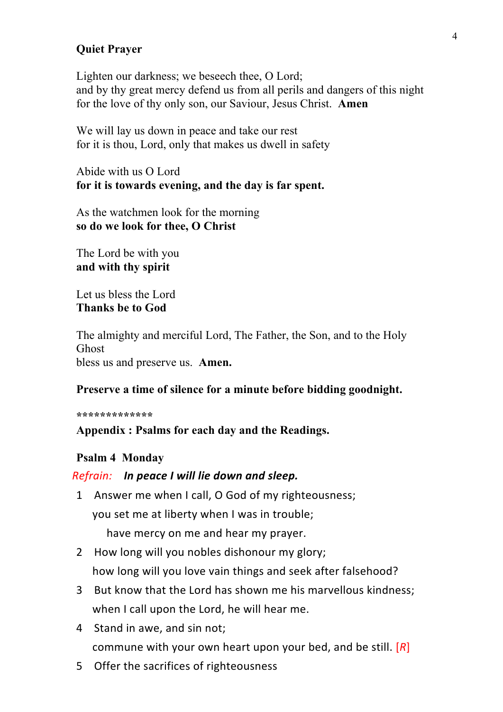# **Quiet Prayer**

Lighten our darkness; we beseech thee, O Lord; and by thy great mercy defend us from all perils and dangers of this night for the love of thy only son, our Saviour, Jesus Christ. **Amen**

We will lay us down in peace and take our rest for it is thou, Lord, only that makes us dwell in safety

Abide with us O Lord **for it is towards evening, and the day is far spent.**

As the watchmen look for the morning **so do we look for thee, O Christ**

The Lord be with you **and with thy spirit**

Let us bless the Lord **Thanks be to God**

The almighty and merciful Lord, The Father, the Son, and to the Holy Ghost bless us and preserve us. **Amen.**

#### **Preserve a time of silence for a minute before bidding goodnight.**

**\*\*\*\*\*\*\*\*\*\*\*\*\***

**Appendix : Psalms for each day and the Readings.**

## **Psalm 4 Monday**

### *Refrain:**In peace I will lie down and sleep.*

- 1 Answer me when I call, O God of my righteousness; you set me at liberty when I was in trouble; have mercy on me and hear my prayer.
- 2 How long will you nobles dishonour my glory; how long will you love vain things and seek after falsehood?
- 3 But know that the Lord has shown me his marvellous kindness; when I call upon the Lord, he will hear me.
- 4 Stand in awe, and sin not; commune with your own heart upon your bed, and be still. [*R*]
- 5 Offer the sacrifices of righteousness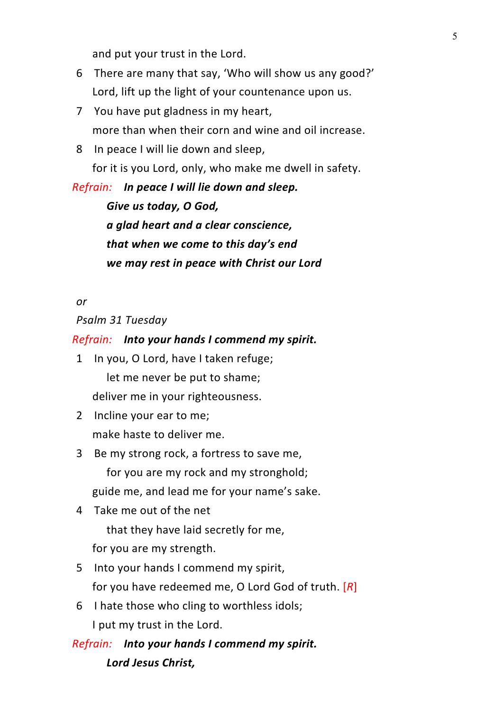and put your trust in the Lord.

- 6 There are many that say, 'Who will show us any good?' Lord, lift up the light of your countenance upon us.
- 7 You have put gladness in my heart, more than when their corn and wine and oil increase.
- 8 In peace I will lie down and sleep, for it is you Lord, only, who make me dwell in safety.

*Refrain:**In peace I will lie down and sleep.*

*Give us today, O God, a glad heart and a clear conscience, that when we come to this day's end we may rest in peace with Christ our Lord*

### *or*

*Psalm 31 Tuesday*

## *Refrain: Into your hands I commend my spirit.*

- 1 In you, O Lord, have I taken refuge; let me never be put to shame; deliver me in your righteousness.
- 2 Incline your ear to me; make haste to deliver me.
- 3 Be my strong rock, a fortress to save me, for you are my rock and my stronghold; guide me, and lead me for your name's sake.
- 4 Take me out of the net

that they have laid secretly for me, for you are my strength.

- 5 Into your hands I commend my spirit, for you have redeemed me, O Lord God of truth. [*R*]
- 6 I hate those who cling to worthless idols; I put my trust in the Lord.

*Refrain: Into your hands I commend my spirit. Lord Jesus Christ,*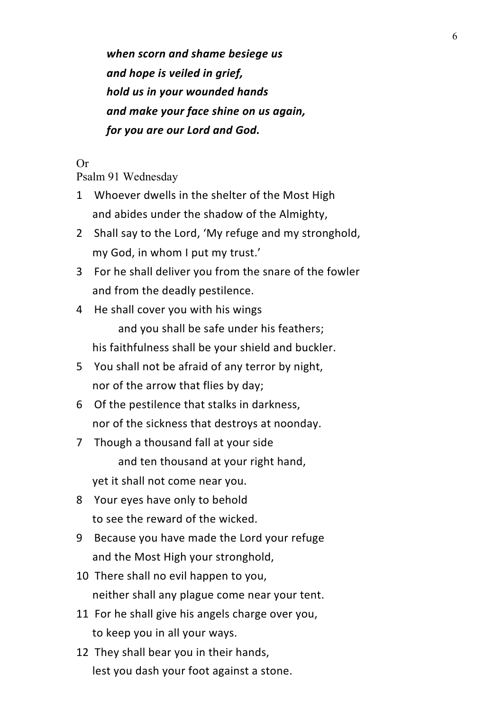*when scorn and shame besiege us and hope is veiled in grief, hold us in your wounded hands and make your face shine on us again, for you are our Lord and God.*

# Or

Psalm 91 Wednesday

- 1 Whoever dwells in the shelter of the Most High and abides under the shadow of the Almighty,
- 2 Shall say to the Lord, 'My refuge and my stronghold, my God, in whom I put my trust.'
- 3 For he shall deliver you from the snare of the fowler and from the deadly pestilence.
- 4 He shall cover you with his wings and you shall be safe under his feathers; his faithfulness shall be your shield and buckler.
- 5 You shall not be afraid of any terror by night, nor of the arrow that flies by day;
- 6 Of the pestilence that stalks in darkness, nor of the sickness that destroys at noonday.
- 7 Though a thousand fall at your side and ten thousand at your right hand, yet it shall not come near you.
- 8 Your eyes have only to behold to see the reward of the wicked.
- 9 Because you have made the Lord your refuge and the Most High your stronghold,
- 10 There shall no evil happen to you, neither shall any plague come near your tent.
- 11 For he shall give his angels charge over you, to keep you in all your ways.
- 12 They shall bear you in their hands, lest you dash your foot against a stone.